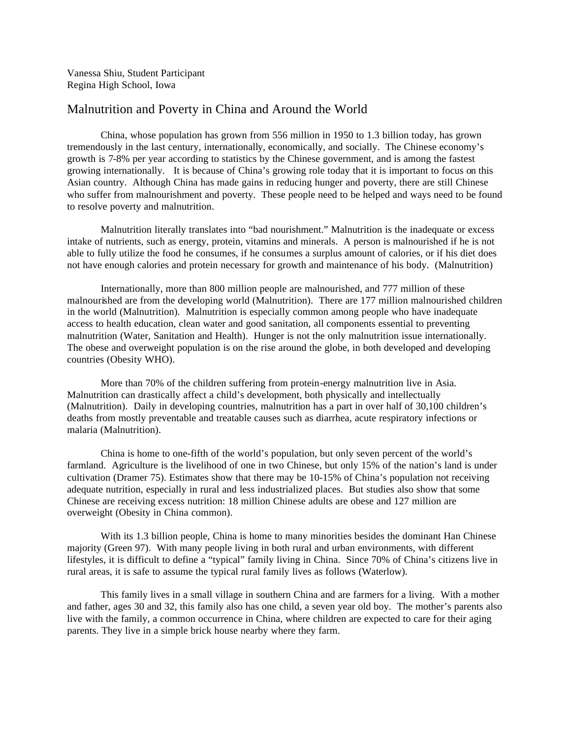Vanessa Shiu, Student Participant Regina High School, Iowa

## Malnutrition and Poverty in China and Around the World

China, whose population has grown from 556 million in 1950 to 1.3 billion today, has grown tremendously in the last century, internationally, economically, and socially. The Chinese economy's growth is 7-8% per year according to statistics by the Chinese government, and is among the fastest growing internationally. It is because of China's growing role today that it is important to focus on this Asian country. Although China has made gains in reducing hunger and poverty, there are still Chinese who suffer from malnourishment and poverty. These people need to be helped and ways need to be found to resolve poverty and malnutrition.

Malnutrition literally translates into "bad nourishment." Malnutrition is the inadequate or excess intake of nutrients, such as energy, protein, vitamins and minerals. A person is malnourished if he is not able to fully utilize the food he consumes, if he consumes a surplus amount of calories, or if his diet does not have enough calories and protein necessary for growth and maintenance of his body. (Malnutrition)

Internationally, more than 800 million people are malnourished, and 777 million of these malnourished are from the developing world (Malnutrition). There are 177 million malnourished children in the world (Malnutrition). Malnutrition is especially common among people who have inadequate access to health education, clean water and good sanitation, all components essential to preventing malnutrition (Water, Sanitation and Health). Hunger is not the only malnutrition issue internationally. The obese and overweight population is on the rise around the globe, in both developed and developing countries (Obesity WHO).

More than 70% of the children suffering from protein-energy malnutrition live in Asia. Malnutrition can drastically affect a child's development, both physically and intellectually (Malnutrition). Daily in developing countries, malnutrition has a part in over half of 30,100 children's deaths from mostly preventable and treatable causes such as diarrhea, acute respiratory infections or malaria (Malnutrition).

China is home to one-fifth of the world's population, but only seven percent of the world's farmland. Agriculture is the livelihood of one in two Chinese, but only 15% of the nation's land is under cultivation (Dramer 75). Estimates show that there may be 10-15% of China's population not receiving adequate nutrition, especially in rural and less industrialized places. But studies also show that some Chinese are receiving excess nutrition: 18 million Chinese adults are obese and 127 million are overweight (Obesity in China common).

With its 1.3 billion people, China is home to many minorities besides the dominant Han Chinese majority (Green 97). With many people living in both rural and urban environments, with different lifestyles, it is difficult to define a "typical" family living in China. Since 70% of China's citizens live in rural areas, it is safe to assume the typical rural family lives as follows (Waterlow).

This family lives in a small village in southern China and are farmers for a living. With a mother and father, ages 30 and 32, this family also has one child, a seven year old boy. The mother's parents also live with the family, a common occurrence in China, where children are expected to care for their aging parents. They live in a simple brick house nearby where they farm.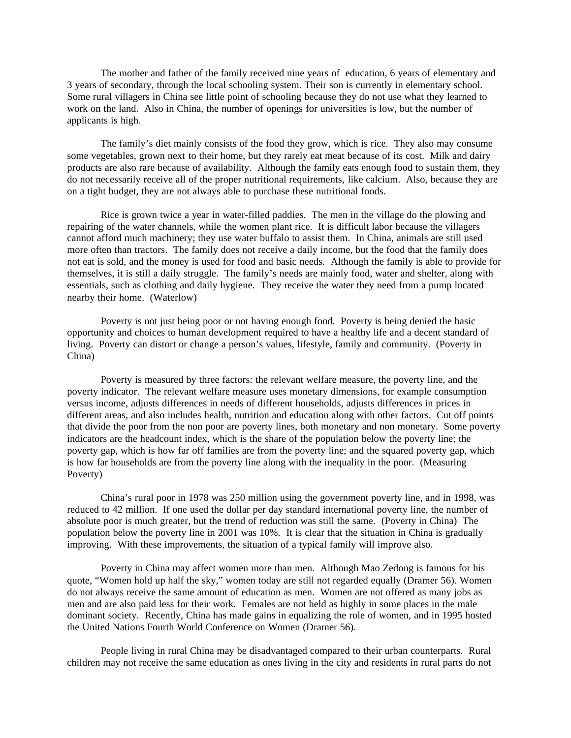The mother and father of the family received nine years of education, 6 years of elementary and 3 years of secondary, through the local schooling system. Their son is currently in elementary school. Some rural villagers in China see little point of schooling because they do not use what they learned to work on the land. Also in China, the number of openings for universities is low, but the number of applicants is high.

The family's diet mainly consists of the food they grow, which is rice. They also may consume some vegetables, grown next to their home, but they rarely eat meat because of its cost. Milk and dairy products are also rare because of availability. Although the family eats enough food to sustain them, they do not necessarily receive all of the proper nutritional requirements, like calcium. Also, because they are on a tight budget, they are not always able to purchase these nutritional foods.

Rice is grown twice a year in water-filled paddies. The men in the village do the plowing and repairing of the water channels, while the women plant rice. It is difficult labor because the villagers cannot afford much machinery; they use water buffalo to assist them. In China, animals are still used more often than tractors. The family does not receive a daily income, but the food that the family does not eat is sold, and the money is used for food and basic needs. Although the family is able to provide for themselves, it is still a daily struggle. The family's needs are mainly food, water and shelter, along with essentials, such as clothing and daily hygiene. They receive the water they need from a pump located nearby their home. (Waterlow)

Poverty is not just being poor or not having enough food. Poverty is being denied the basic opportunity and choices to human development required to have a healthy life and a decent standard of living. Poverty can distort or change a person's values, lifestyle, family and community. (Poverty in China)

Poverty is measured by three factors: the relevant welfare measure, the poverty line, and the poverty indicator. The relevant welfare measure uses monetary dimensions, for example consumption versus income, adjusts differences in needs of different households, adjusts differences in prices in different areas, and also includes health, nutrition and education along with other factors. Cut off points that divide the poor from the non poor are poverty lines, both monetary and non monetary. Some poverty indicators are the headcount index, which is the share of the population below the poverty line; the poverty gap, which is how far off families are from the poverty line; and the squared poverty gap, which is how far households are from the poverty line along with the inequality in the poor. (Measuring Poverty)

China's rural poor in 1978 was 250 million using the government poverty line, and in 1998, was reduced to 42 million. If one used the dollar per day standard international poverty line, the number of absolute poor is much greater, but the trend of reduction was still the same. (Poverty in China) The population below the poverty line in 2001 was 10%. It is clear that the situation in China is gradually improving. With these improvements, the situation of a typical family will improve also.

Poverty in China may affect women more than men. Although Mao Zedong is famous for his quote, "Women hold up half the sky," women today are still not regarded equally (Dramer 56). Women do not always receive the same amount of education as men. Women are not offered as many jobs as men and are also paid less for their work. Females are not held as highly in some places in the male dominant society. Recently, China has made gains in equalizing the role of women, and in 1995 hosted the United Nations Fourth World Conference on Women (Dramer 56).

People living in rural China may be disadvantaged compared to their urban counterparts. Rural children may not receive the same education as ones living in the city and residents in rural parts do not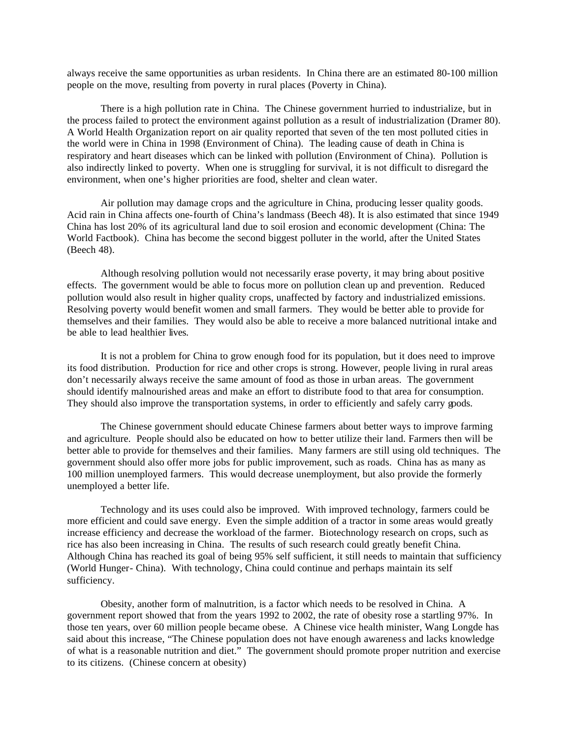always receive the same opportunities as urban residents. In China there are an estimated 80-100 million people on the move, resulting from poverty in rural places (Poverty in China).

There is a high pollution rate in China. The Chinese government hurried to industrialize, but in the process failed to protect the environment against pollution as a result of industrialization (Dramer 80). A World Health Organization report on air quality reported that seven of the ten most polluted cities in the world were in China in 1998 (Environment of China). The leading cause of death in China is respiratory and heart diseases which can be linked with pollution (Environment of China). Pollution is also indirectly linked to poverty. When one is struggling for survival, it is not difficult to disregard the environment, when one's higher priorities are food, shelter and clean water.

Air pollution may damage crops and the agriculture in China, producing lesser quality goods. Acid rain in China affects one-fourth of China's landmass (Beech 48). It is also estimated that since 1949 China has lost 20% of its agricultural land due to soil erosion and economic development (China: The World Factbook). China has become the second biggest polluter in the world, after the United States (Beech 48).

Although resolving pollution would not necessarily erase poverty, it may bring about positive effects. The government would be able to focus more on pollution clean up and prevention. Reduced pollution would also result in higher quality crops, unaffected by factory and industrialized emissions. Resolving poverty would benefit women and small farmers. They would be better able to provide for themselves and their families. They would also be able to receive a more balanced nutritional intake and be able to lead healthier lives.

It is not a problem for China to grow enough food for its population, but it does need to improve its food distribution. Production for rice and other crops is strong. However, people living in rural areas don't necessarily always receive the same amount of food as those in urban areas. The government should identify malnourished areas and make an effort to distribute food to that area for consumption. They should also improve the transportation systems, in order to efficiently and safely carry goods.

The Chinese government should educate Chinese farmers about better ways to improve farming and agriculture. People should also be educated on how to better utilize their land. Farmers then will be better able to provide for themselves and their families. Many farmers are still using old techniques. The government should also offer more jobs for public improvement, such as roads. China has as many as 100 million unemployed farmers. This would decrease unemployment, but also provide the formerly unemployed a better life.

Technology and its uses could also be improved. With improved technology, farmers could be more efficient and could save energy. Even the simple addition of a tractor in some areas would greatly increase efficiency and decrease the workload of the farmer. Biotechnology research on crops, such as rice has also been increasing in China. The results of such research could greatly benefit China. Although China has reached its goal of being 95% self sufficient, it still needs to maintain that sufficiency (World Hunger- China). With technology, China could continue and perhaps maintain its self sufficiency.

Obesity, another form of malnutrition, is a factor which needs to be resolved in China. A government report showed that from the years 1992 to 2002, the rate of obesity rose a startling 97%. In those ten years, over 60 million people became obese. A Chinese vice health minister, Wang Longde has said about this increase, "The Chinese population does not have enough awareness and lacks knowledge of what is a reasonable nutrition and diet." The government should promote proper nutrition and exercise to its citizens. (Chinese concern at obesity)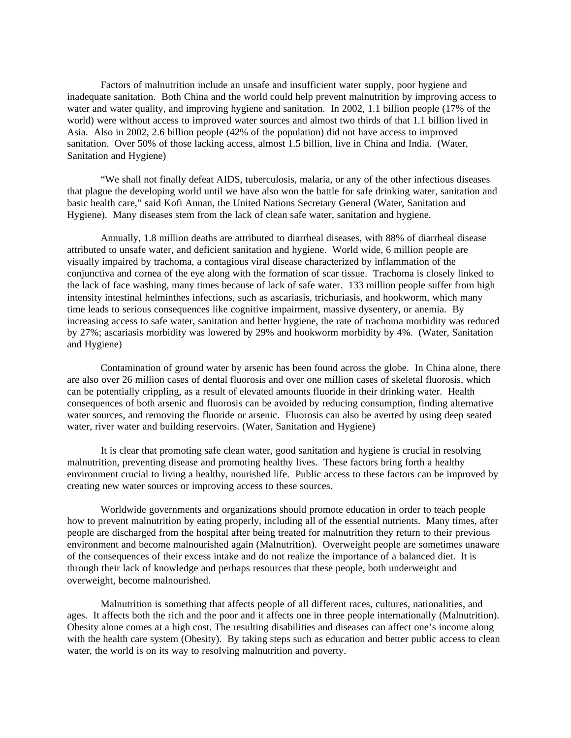Factors of malnutrition include an unsafe and insufficient water supply, poor hygiene and inadequate sanitation. Both China and the world could help prevent malnutrition by improving access to water and water quality, and improving hygiene and sanitation. In 2002, 1.1 billion people (17% of the world) were without access to improved water sources and almost two thirds of that 1.1 billion lived in Asia. Also in 2002, 2.6 billion people (42% of the population) did not have access to improved sanitation. Over 50% of those lacking access, almost 1.5 billion, live in China and India. (Water, Sanitation and Hygiene)

"We shall not finally defeat AIDS, tuberculosis, malaria, or any of the other infectious diseases that plague the developing world until we have also won the battle for safe drinking water, sanitation and basic health care," said Kofi Annan, the United Nations Secretary General (Water, Sanitation and Hygiene). Many diseases stem from the lack of clean safe water, sanitation and hygiene.

Annually, 1.8 million deaths are attributed to diarrheal diseases, with 88% of diarrheal disease attributed to unsafe water, and deficient sanitation and hygiene. World wide, 6 million people are visually impaired by trachoma, a contagious viral disease characterized by inflammation of the conjunctiva and cornea of the eye along with the formation of scar tissue. Trachoma is closely linked to the lack of face washing, many times because of lack of safe water. 133 million people suffer from high intensity intestinal helminthes infections, such as ascariasis, trichuriasis, and hookworm, which many time leads to serious consequences like cognitive impairment, massive dysentery, or anemia. By increasing access to safe water, sanitation and better hygiene, the rate of trachoma morbidity was reduced by 27%; ascariasis morbidity was lowered by 29% and hookworm morbidity by 4%. (Water, Sanitation and Hygiene)

Contamination of ground water by arsenic has been found across the globe. In China alone, there are also over 26 million cases of dental fluorosis and over one million cases of skeletal fluorosis, which can be potentially crippling, as a result of elevated amounts fluoride in their drinking water. Health consequences of both arsenic and fluorosis can be avoided by reducing consumption, finding alternative water sources, and removing the fluoride or arsenic. Fluorosis can also be averted by using deep seated water, river water and building reservoirs. (Water, Sanitation and Hygiene)

It is clear that promoting safe clean water, good sanitation and hygiene is crucial in resolving malnutrition, preventing disease and promoting healthy lives. These factors bring forth a healthy environment crucial to living a healthy, nourished life. Public access to these factors can be improved by creating new water sources or improving access to these sources.

Worldwide governments and organizations should promote education in order to teach people how to prevent malnutrition by eating properly, including all of the essential nutrients. Many times, after people are discharged from the hospital after being treated for malnutrition they return to their previous environment and become malnourished again (Malnutrition). Overweight people are sometimes unaware of the consequences of their excess intake and do not realize the importance of a balanced diet. It is through their lack of knowledge and perhaps resources that these people, both underweight and overweight, become malnourished.

Malnutrition is something that affects people of all different races, cultures, nationalities, and ages. It affects both the rich and the poor and it affects one in three people internationally (Malnutrition). Obesity alone comes at a high cost. The resulting disabilities and diseases can affect one's income along with the health care system (Obesity). By taking steps such as education and better public access to clean water, the world is on its way to resolving malnutrition and poverty.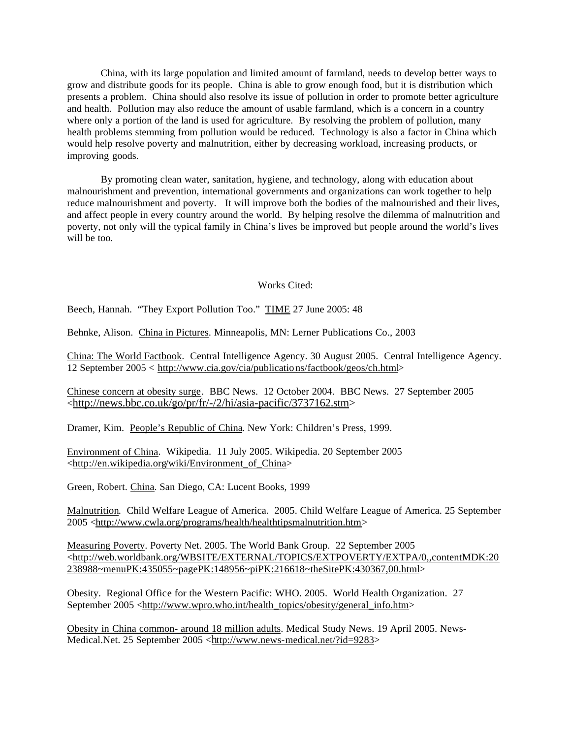China, with its large population and limited amount of farmland, needs to develop better ways to grow and distribute goods for its people. China is able to grow enough food, but it is distribution which presents a problem. China should also resolve its issue of pollution in order to promote better agriculture and health. Pollution may also reduce the amount of usable farmland, which is a concern in a country where only a portion of the land is used for agriculture. By resolving the problem of pollution, many health problems stemming from pollution would be reduced. Technology is also a factor in China which would help resolve poverty and malnutrition, either by decreasing workload, increasing products, or improving goods.

By promoting clean water, sanitation, hygiene, and technology, along with education about malnourishment and prevention, international governments and organizations can work together to help reduce malnourishment and poverty. It will improve both the bodies of the malnourished and their lives, and affect people in every country around the world. By helping resolve the dilemma of malnutrition and poverty, not only will the typical family in China's lives be improved but people around the world's lives will be too.

## Works Cited:

Beech, Hannah. "They Export Pollution Too." TIME 27 June 2005: 48

Behnke, Alison. China in Pictures. Minneapolis, MN: Lerner Publications Co., 2003

China: The World Factbook. Central Intelligence Agency. 30 August 2005. Central Intelligence Agency. 12 September 2005 < http://www.cia.gov/cia/publications/factbook/geos/ch.html>

Chinese concern at obesity surge. BBC News. 12 October 2004. BBC News. 27 September 2005 <http://news.bbc.co.uk/go/pr/fr/-/2/hi/asia-pacific/3737162.stm>

Dramer, Kim. People's Republic of China. New York: Children's Press, 1999.

Environment of China. Wikipedia. 11 July 2005. Wikipedia. 20 September 2005 <http://en.wikipedia.org/wiki/Environment\_of\_China>

Green, Robert. China. San Diego, CA: Lucent Books, 1999

Malnutrition. Child Welfare League of America. 2005. Child Welfare League of America. 25 September 2005 <http://www.cwla.org/programs/health/healthtipsmalnutrition.htm>

Measuring Poverty. Poverty Net. 2005. The World Bank Group. 22 September 2005 <http://web.worldbank.org/WBSITE/EXTERNAL/TOPICS/EXTPOVERTY/EXTPA/0,,contentMDK:20 238988~menuPK:435055~pagePK:148956~piPK:216618~theSitePK:430367,00.html>

Obesity. Regional Office for the Western Pacific: WHO. 2005. World Health Organization. 27 September 2005 <http://www.wpro.who.int/health\_topics/obesity/general\_info.htm>

Obesity in China common- around 18 million adults. Medical Study News. 19 April 2005. News-Medical.Net. 25 September 2005 <http://www.news-medical.net/?id=9283>